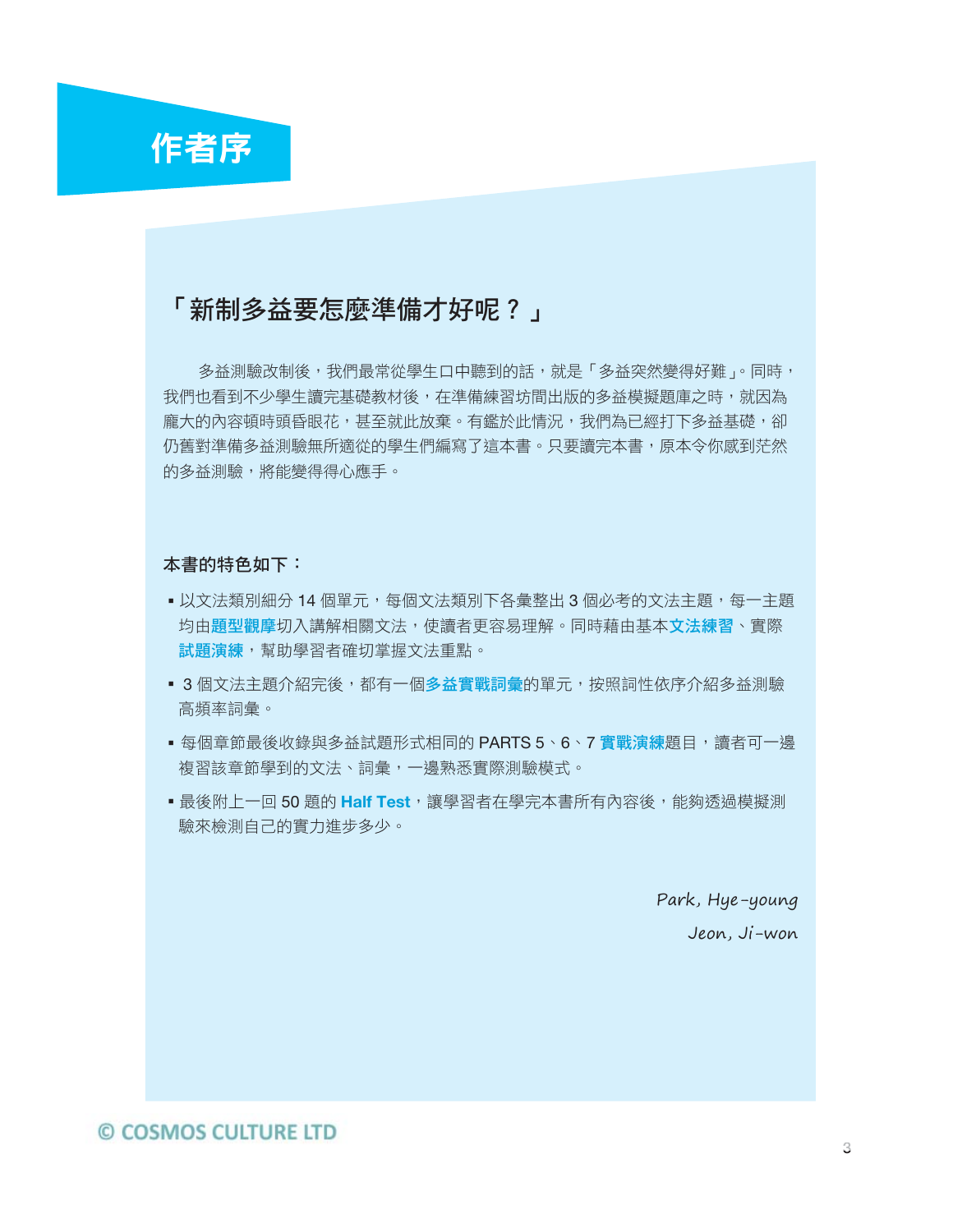

## 「新制多益要怎麼準備才好呢?」

多益測驗改制後,我們最常從學生口中聽到的話,就是「多益突然變得好難」。同時, 我們也看到不少學生讀完基礎教材後,在準備練習坊間出版的多益模擬題庫之時,就因為 龐大的內容頓時頭昏眼花,甚至就此放棄。有鑑於此情況,我們為已經打下多益基礎,卻 仍舊對準備多益測驗無所適從的學生們編寫了這本書。只要讀完本書,原本令你感到茫然 的多益測驗,將能變得得心應手。

### 本書的特色如下:

- 以文法類別細分 14 個單元,每個文法類別下各彙整出 3 個必考的文法主題,每一主題 均由題型觀摩切入講解相關文法,使讀者更容易理解。同時藉由基本文法練習、實際 試題演練,幫助學習者確切掌握文法重點。
- 3 個文法主題介紹完後,都有一個多益實戰詞彙的單元,按照詞性依序介紹多益測驗 高頻率詞彙。
- ■每個章節最後收錄與多益試題形式相同的 PARTS 5、6、7 實戰演練題目,讀者可一邊 複習該章節學到的文法、詞彙,一邊熟悉實際測驗模式。
- ▪最後附上一回 50 題的 Half Test,讓學習者在學完本書所有內容後,能夠透過模擬測 驗來檢測自己的實力進步多少。

Park, Hye-young Jeon, Ji-won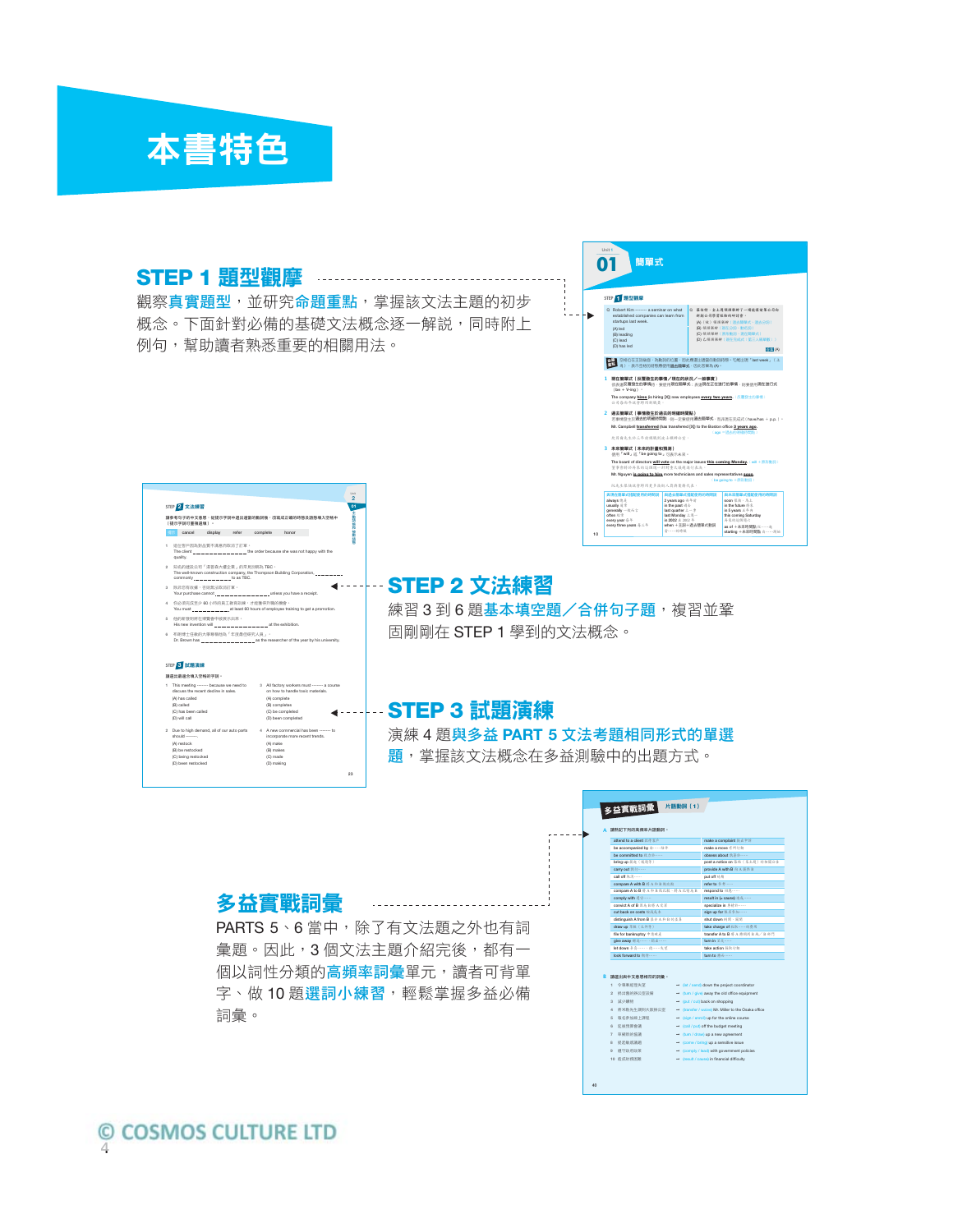

### **STEP 1** 題型觀摩 觀察真實題型,並研究命題重點,掌握該文法主題的初步 t. ⊦⊾ 概念。下面針對必備的基礎文法概念逐一解説,同時附上 例句,幫助讀者熟悉重要的相關用法。





1 This meeting ------- because we need to discuss the recent decline in sales. (A) has called (B) called (C) has been called (D) will call 2 Due to high demand, all of our auto parts should -------. (A) restock (B) be restocked (C) being restocked (D) been restocked

### **STEP 2** 文法練習

練習3到6題基本填空題/合併句子題,複習並鞏 固剛剛在 STEP 1 學到的文法概念。

## **STEP 3** 試題演練

演練 4 題與多益 **PART 5** 文法考題相同形式的單選 **題**,掌握該文法概念在多益測驗中的出題方式。

### 多益實戰詞彙

3 All factory workers must -------- a course<br>
on how to handle toxic materials.<br>
(A) complete<br>
(B) completed<br>
(C) be completed<br>
(D) been completed

4 A new commercial has been ------- to incorporate more recent trends. (A) make (B) makes (C) made (D) making

23

 $\blacktriangleleft$  = = =

PARTS 5、6 當中,除了有文法題之外也有詞 彙題。因此,3個文法主題介紹完後,都有一 個以詞性分類的高頻率詞彙單元,讀者可背單 字、做10 題選詞小練習,輕鬆掌握多益必備 詞彙。

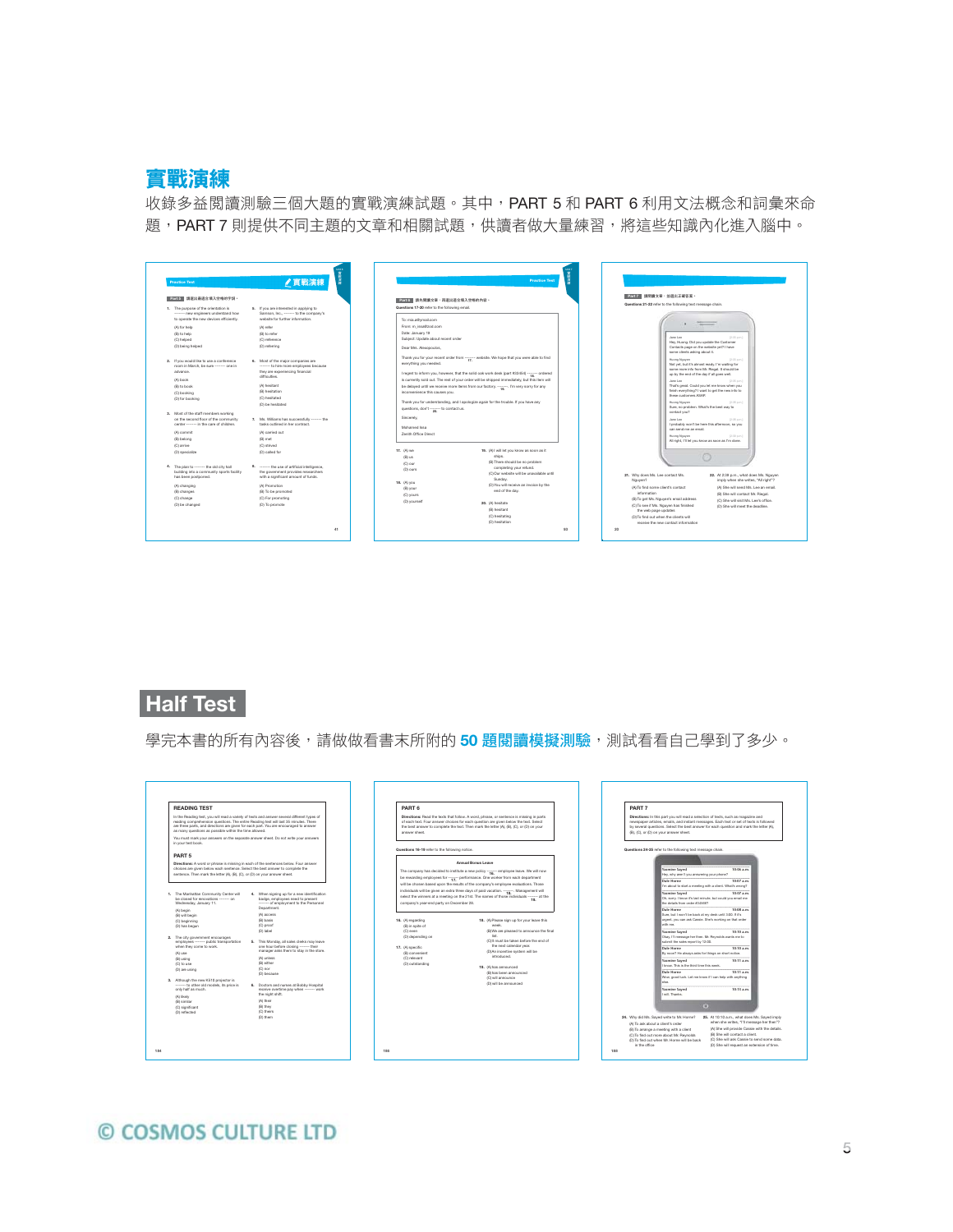

收錄多益閱讀測驗三個大題的實戰演練試題。其中,PART 5 和 PART 6 利用文法概念和詞彙來命 題, PART 7 則提供不同主題的文章和相關試題, 供讀者做大量練習, 將這些知識內化進入腦中。

| Part 5 請選出最適合填入空格的字詞。                                                                                                                                  |                                                                                                                                                    | Part 6 請先開讀)                                                                          |
|--------------------------------------------------------------------------------------------------------------------------------------------------------|----------------------------------------------------------------------------------------------------------------------------------------------------|---------------------------------------------------------------------------------------|
| 1. The purpose of the orientation is<br>------- new engineers understand how<br>to operate the new devices efficiently.<br>(A) for help<br>(B) to help | 5. If you are interested in applying to<br>Samson, Inc., ------- to the company's<br>website for further information.<br>(A) refer<br>(B) to refer | Questions 17-20 refer<br>To: mia.a@ymail.cr<br>From: m issa@zoo<br>Date: January 19   |
| (C) helped<br>(D) being helped                                                                                                                         | (C) reference<br>(D) referring                                                                                                                     | Subject: Update al<br>Dear Mrs. Alexono<br>Thank you for your                         |
| 2. If you would like to use a conference<br>room in March, be sure ------- one in<br>advance.                                                          | 6. Most of the major companies are<br>------- to hire more employees because<br>they are experiencing financial<br>difficulties.                   | everything you nee<br>I regret to inform y                                            |
| (A) book<br>(B) to book<br>(C) booking<br>(D) for booking                                                                                              | (A) hesitant<br>(B) hasitation<br>(C) hesitated<br>(D) be healtated                                                                                | is currently sold or<br>be delayed until w<br>inconvenience this<br>Thank you for und |
| 3. Most of the staff members working<br>on the second floor of the community<br>center ------- in the care of children.<br>(A) commit<br>(B) belong    | 7. Ms. Williams has successfully -------- the<br>tasks outlined in her contract<br>(A) carried out<br>(B) met                                      | questions, don't --<br>Sincerely.<br>Mohamed Issa<br>Zenith Office Direc              |
| (C) arrive<br>(D) specialize                                                                                                                           | (C) strived<br>(D) called for                                                                                                                      | 17. (A) we<br>(B) us                                                                  |
| 4. The plan to ------- the old city hall<br>building into a community sports facility<br>has been postponed.                                           | 8. ------- the use of artificial intelligence.<br>the covernment provides researchers<br>with a significant amount of funds.                       | (C) our<br>(D) ours                                                                   |
| (A) changing<br>(B) changes<br>(C) change<br>(D) be changed                                                                                            | (A) Promotion<br>(B) To be promoted<br>(C) For promoting<br>(D) To promote                                                                         | 18. (A) you<br>(B) your<br>(C) yours<br>(D) yourself                                  |

| Part 6 請先開讀文章·再選出這合填入空格的內容。<br>Questions 17-20 refer to the following email.<br>To: mia.a@ymail.com<br>From: m issa@zod.com<br>Date: January 19<br>Subject: Update about recent order<br>Dear Mrs. Alexandulos.<br>Thank you for your recent order from ------- website. We hope that you were able to find<br>everything you needed.<br>I regret to inform you, however, that the solid oak work desk (part #33454) ------- ordered<br>is currently sold out. The rest of your order will be shipped immediately, but this item will<br>be delayed until we receive more items from our factory.  I'm very sorry for any<br>inconverience this causes you.<br>Thank you for understanding, and I apologize again for the trouble. If you have any<br>questions, don't ------- to contact us.<br>Sincerely.<br>Mohamed Issa<br>Zenith Office Direct<br>17. (A) we<br>19. (A) I will let you know as soon as it<br>ships.<br>(B) us<br>(B) There should be no problem<br>(C) our<br>completing your refund.<br>(D) ours<br>Sunday.<br>18. (A) you<br>(D) You will receive an invoice by the<br>(B) your<br>end of the day.<br>(C) yours<br>(D) yourself<br>20. (A) hesitate<br>(B) hesitant<br>(C) hesitating<br>(D) hesitation |  |  | <b>Practice Test</b>                      |  |  |  |  |
|--------------------------------------------------------------------------------------------------------------------------------------------------------------------------------------------------------------------------------------------------------------------------------------------------------------------------------------------------------------------------------------------------------------------------------------------------------------------------------------------------------------------------------------------------------------------------------------------------------------------------------------------------------------------------------------------------------------------------------------------------------------------------------------------------------------------------------------------------------------------------------------------------------------------------------------------------------------------------------------------------------------------------------------------------------------------------------------------------------------------------------------------------------------------------------------------------------------------------------|--|--|-------------------------------------------|--|--|--|--|
|                                                                                                                                                                                                                                                                                                                                                                                                                                                                                                                                                                                                                                                                                                                                                                                                                                                                                                                                                                                                                                                                                                                                                                                                                                |  |  |                                           |  |  |  |  |
|                                                                                                                                                                                                                                                                                                                                                                                                                                                                                                                                                                                                                                                                                                                                                                                                                                                                                                                                                                                                                                                                                                                                                                                                                                |  |  |                                           |  |  |  |  |
|                                                                                                                                                                                                                                                                                                                                                                                                                                                                                                                                                                                                                                                                                                                                                                                                                                                                                                                                                                                                                                                                                                                                                                                                                                |  |  |                                           |  |  |  |  |
|                                                                                                                                                                                                                                                                                                                                                                                                                                                                                                                                                                                                                                                                                                                                                                                                                                                                                                                                                                                                                                                                                                                                                                                                                                |  |  |                                           |  |  |  |  |
|                                                                                                                                                                                                                                                                                                                                                                                                                                                                                                                                                                                                                                                                                                                                                                                                                                                                                                                                                                                                                                                                                                                                                                                                                                |  |  |                                           |  |  |  |  |
|                                                                                                                                                                                                                                                                                                                                                                                                                                                                                                                                                                                                                                                                                                                                                                                                                                                                                                                                                                                                                                                                                                                                                                                                                                |  |  |                                           |  |  |  |  |
|                                                                                                                                                                                                                                                                                                                                                                                                                                                                                                                                                                                                                                                                                                                                                                                                                                                                                                                                                                                                                                                                                                                                                                                                                                |  |  |                                           |  |  |  |  |
|                                                                                                                                                                                                                                                                                                                                                                                                                                                                                                                                                                                                                                                                                                                                                                                                                                                                                                                                                                                                                                                                                                                                                                                                                                |  |  |                                           |  |  |  |  |
|                                                                                                                                                                                                                                                                                                                                                                                                                                                                                                                                                                                                                                                                                                                                                                                                                                                                                                                                                                                                                                                                                                                                                                                                                                |  |  |                                           |  |  |  |  |
|                                                                                                                                                                                                                                                                                                                                                                                                                                                                                                                                                                                                                                                                                                                                                                                                                                                                                                                                                                                                                                                                                                                                                                                                                                |  |  |                                           |  |  |  |  |
|                                                                                                                                                                                                                                                                                                                                                                                                                                                                                                                                                                                                                                                                                                                                                                                                                                                                                                                                                                                                                                                                                                                                                                                                                                |  |  |                                           |  |  |  |  |
|                                                                                                                                                                                                                                                                                                                                                                                                                                                                                                                                                                                                                                                                                                                                                                                                                                                                                                                                                                                                                                                                                                                                                                                                                                |  |  |                                           |  |  |  |  |
|                                                                                                                                                                                                                                                                                                                                                                                                                                                                                                                                                                                                                                                                                                                                                                                                                                                                                                                                                                                                                                                                                                                                                                                                                                |  |  |                                           |  |  |  |  |
|                                                                                                                                                                                                                                                                                                                                                                                                                                                                                                                                                                                                                                                                                                                                                                                                                                                                                                                                                                                                                                                                                                                                                                                                                                |  |  |                                           |  |  |  |  |
|                                                                                                                                                                                                                                                                                                                                                                                                                                                                                                                                                                                                                                                                                                                                                                                                                                                                                                                                                                                                                                                                                                                                                                                                                                |  |  |                                           |  |  |  |  |
|                                                                                                                                                                                                                                                                                                                                                                                                                                                                                                                                                                                                                                                                                                                                                                                                                                                                                                                                                                                                                                                                                                                                                                                                                                |  |  |                                           |  |  |  |  |
|                                                                                                                                                                                                                                                                                                                                                                                                                                                                                                                                                                                                                                                                                                                                                                                                                                                                                                                                                                                                                                                                                                                                                                                                                                |  |  |                                           |  |  |  |  |
|                                                                                                                                                                                                                                                                                                                                                                                                                                                                                                                                                                                                                                                                                                                                                                                                                                                                                                                                                                                                                                                                                                                                                                                                                                |  |  |                                           |  |  |  |  |
|                                                                                                                                                                                                                                                                                                                                                                                                                                                                                                                                                                                                                                                                                                                                                                                                                                                                                                                                                                                                                                                                                                                                                                                                                                |  |  |                                           |  |  |  |  |
|                                                                                                                                                                                                                                                                                                                                                                                                                                                                                                                                                                                                                                                                                                                                                                                                                                                                                                                                                                                                                                                                                                                                                                                                                                |  |  |                                           |  |  |  |  |
|                                                                                                                                                                                                                                                                                                                                                                                                                                                                                                                                                                                                                                                                                                                                                                                                                                                                                                                                                                                                                                                                                                                                                                                                                                |  |  |                                           |  |  |  |  |
|                                                                                                                                                                                                                                                                                                                                                                                                                                                                                                                                                                                                                                                                                                                                                                                                                                                                                                                                                                                                                                                                                                                                                                                                                                |  |  |                                           |  |  |  |  |
|                                                                                                                                                                                                                                                                                                                                                                                                                                                                                                                                                                                                                                                                                                                                                                                                                                                                                                                                                                                                                                                                                                                                                                                                                                |  |  | (C) Our website will be unavailable until |  |  |  |  |
|                                                                                                                                                                                                                                                                                                                                                                                                                                                                                                                                                                                                                                                                                                                                                                                                                                                                                                                                                                                                                                                                                                                                                                                                                                |  |  |                                           |  |  |  |  |
|                                                                                                                                                                                                                                                                                                                                                                                                                                                                                                                                                                                                                                                                                                                                                                                                                                                                                                                                                                                                                                                                                                                                                                                                                                |  |  |                                           |  |  |  |  |
|                                                                                                                                                                                                                                                                                                                                                                                                                                                                                                                                                                                                                                                                                                                                                                                                                                                                                                                                                                                                                                                                                                                                                                                                                                |  |  |                                           |  |  |  |  |
|                                                                                                                                                                                                                                                                                                                                                                                                                                                                                                                                                                                                                                                                                                                                                                                                                                                                                                                                                                                                                                                                                                                                                                                                                                |  |  |                                           |  |  |  |  |
|                                                                                                                                                                                                                                                                                                                                                                                                                                                                                                                                                                                                                                                                                                                                                                                                                                                                                                                                                                                                                                                                                                                                                                                                                                |  |  |                                           |  |  |  |  |
|                                                                                                                                                                                                                                                                                                                                                                                                                                                                                                                                                                                                                                                                                                                                                                                                                                                                                                                                                                                                                                                                                                                                                                                                                                |  |  |                                           |  |  |  |  |
|                                                                                                                                                                                                                                                                                                                                                                                                                                                                                                                                                                                                                                                                                                                                                                                                                                                                                                                                                                                                                                                                                                                                                                                                                                |  |  |                                           |  |  |  |  |
|                                                                                                                                                                                                                                                                                                                                                                                                                                                                                                                                                                                                                                                                                                                                                                                                                                                                                                                                                                                                                                                                                                                                                                                                                                |  |  |                                           |  |  |  |  |

| Part2 請問請文章·並選出正確答案。                                          |                                                                                            |
|---------------------------------------------------------------|--------------------------------------------------------------------------------------------|
| Questions 21-22 refer to the following text message chain.    |                                                                                            |
|                                                               |                                                                                            |
|                                                               |                                                                                            |
|                                                               |                                                                                            |
|                                                               |                                                                                            |
| Jane Lee                                                      | 0:33 p.m.)<br>Hey, Huong, Did you update the Customer                                      |
|                                                               | Contacts page on the website vet? I have<br>some clients asking about it.                  |
| Huong Nguyen                                                  | 0:33 p.m.)                                                                                 |
|                                                               | Not yet, but it's almost ready. I'm waiting for                                            |
|                                                               | some more info from Mr. Riegal, it should be<br>up by the end of the day if all goes well. |
| Jane Lee                                                      | $0.15$ p.m.)                                                                               |
|                                                               | That's great. Could you let me know when you                                               |
| these customers ASAP:                                         | finish everything? I want to get the new info to                                           |
| Huong Nguyen                                                  | 0:36 p.m.)                                                                                 |
| contact you?                                                  | Sure, no problem. What's the best way to                                                   |
| Jane Lee                                                      | 0:36 p.m.)                                                                                 |
| can send me an email.                                         | I probably won't be here this afternoon, so you                                            |
| Huong Nguyen                                                  | 0:39 p.m.l.                                                                                |
|                                                               | All right, I'll let you know as soon as I'm done.                                          |
|                                                               |                                                                                            |
|                                                               |                                                                                            |
|                                                               |                                                                                            |
| 21. Why does Ms. Lee contact Ms.                              | 22. At 2:39 p.m., what does Ms. Nouven                                                     |
| Nguyen?                                                       | imply when she writes, "All right"?                                                        |
| (A) To find some client's contact                             | (A) She will send Ms. Lee an email.                                                        |
| information                                                   | (B) She will contact Mr. Riegal.                                                           |
| (B) To get Ms. Nouven's email address                         | (C) She will visit Ms. Lee's office.                                                       |
| (C) To see if Ms. Nouven has finished                         | (D) She will meet the deadline.                                                            |
| the web page updates<br>(D) To find out when the clients will |                                                                                            |

## **Half Test**

學完本書的所有內容後,請做做看書末所附的 50 題閱讀模擬測驗,測試看看自己學到了多少。

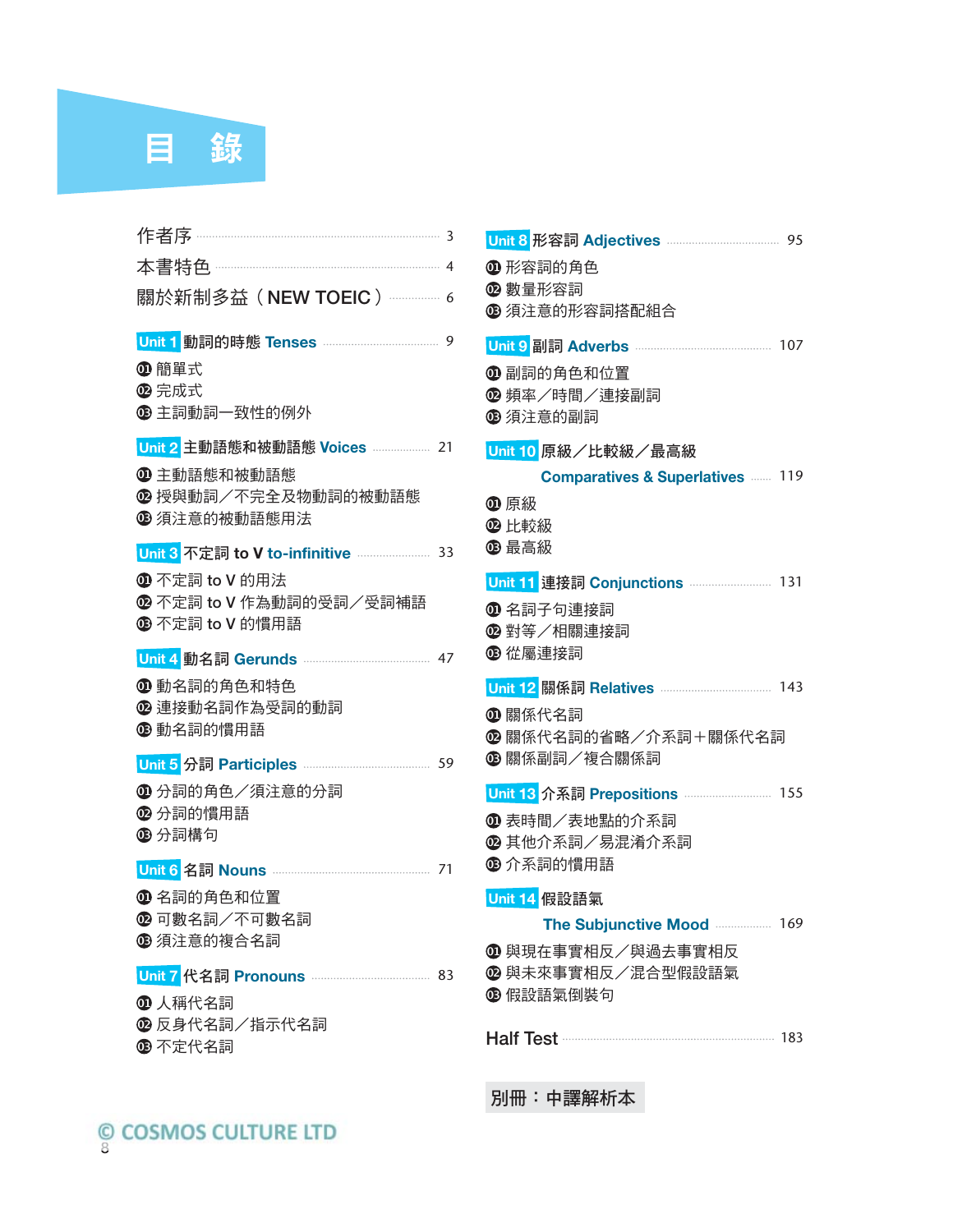

| 關於新制多益 (NEW TOEIC) ………… 6                 |
|-------------------------------------------|
| 9                                         |
| 4 簡單式                                     |
| 2 完成式<br><b>B 主詞動詞一致性的例外</b>              |
|                                           |
| Unit 2 主動語態和被動語態 Voices  21               |
| ❶ 主動語態和被動語態<br><b>@</b> 授與動詞/不完全及物動詞的被動語態 |
| ❻ 須注意的被動語態用法                              |
| Unit 3 不定詞 to V to-infinitive  33         |
| $\bm{\Phi}$ 不定詞 to V 的用法                  |
| 2 不定詞 to V 作為動詞的受詞/受詞補語                   |
| ® 不定詞 to V 的慣用語                           |
| 47                                        |
| ❶ 動名詞的角色和特色                               |
| <b>@</b> 連接動名詞作為受詞的動詞<br><b>⑬</b> 動名詞的慣用語 |
|                                           |
| 4分詞的角色/須注意的分詞                             |
| <b>2</b> 分詞的慣用語                           |
| <b>⑬ 分詞構句</b>                             |
|                                           |
| 1 名詞的角色和位置                                |
| ⑫ 可數名詞/不可數名詞<br>❻ 須注意的複合名詞                |
|                                           |
| 83                                        |
| 1 人稱代名詞                                   |
| ⑫ 反身代名詞/指示代名詞                             |

| $\bm{\Phi}$ 形容詞的角色                          |
|---------------------------------------------|
| ⑫ 數量形容詞<br>❻ 須注意的形容詞搭配組合                    |
|                                             |
| ❶ 副詞的角色和位置                                  |
| ⑫ 頻率/時間/連接副詞                                |
| ❻ 須注意的副詞                                    |
| Unit 10 原級/比較級/最高級                          |
| <b>Comparatives &amp; Superlatives  119</b> |
| ❶ 原級<br>$\bm{\Omega}$ 比較級                   |
| <b>B</b> 最高級                                |
| Unit 11 連接詞 Conjunctions  131               |
| $\bm{\mathbb{O}}$ 名詞子句連接詞                   |
| ⑫ 對等/相關連接詞                                  |
| ❻ 從屬連接詞                                     |
|                                             |
| $\bm{\mathbb{O}}$ 關係代名詞                     |
| ◎ 關係代名詞的省略/介系詞+關係代名詞                        |
| ❻ 關係副詞/複合關係詞                                |
|                                             |
| $\bm{\mathbb{O}}$ 表時間/表地點的介系詞               |
| ❻ 其他介系詞/易混淆介系詞<br>❻ 介系詞的慣用語                 |
|                                             |
| Unit 14 假設語氣                                |
| The Subjunctive Mood<br>169                 |
| ❶ 與現在事實相反/與過去事實相反                           |
| ◎ 與未來事實相反/混合型假設語氣<br>❻ 假設語氣倒裝句              |
|                                             |
| Half Test <b>Manual Accord 183</b>          |
|                                             |

別冊:中譯解析本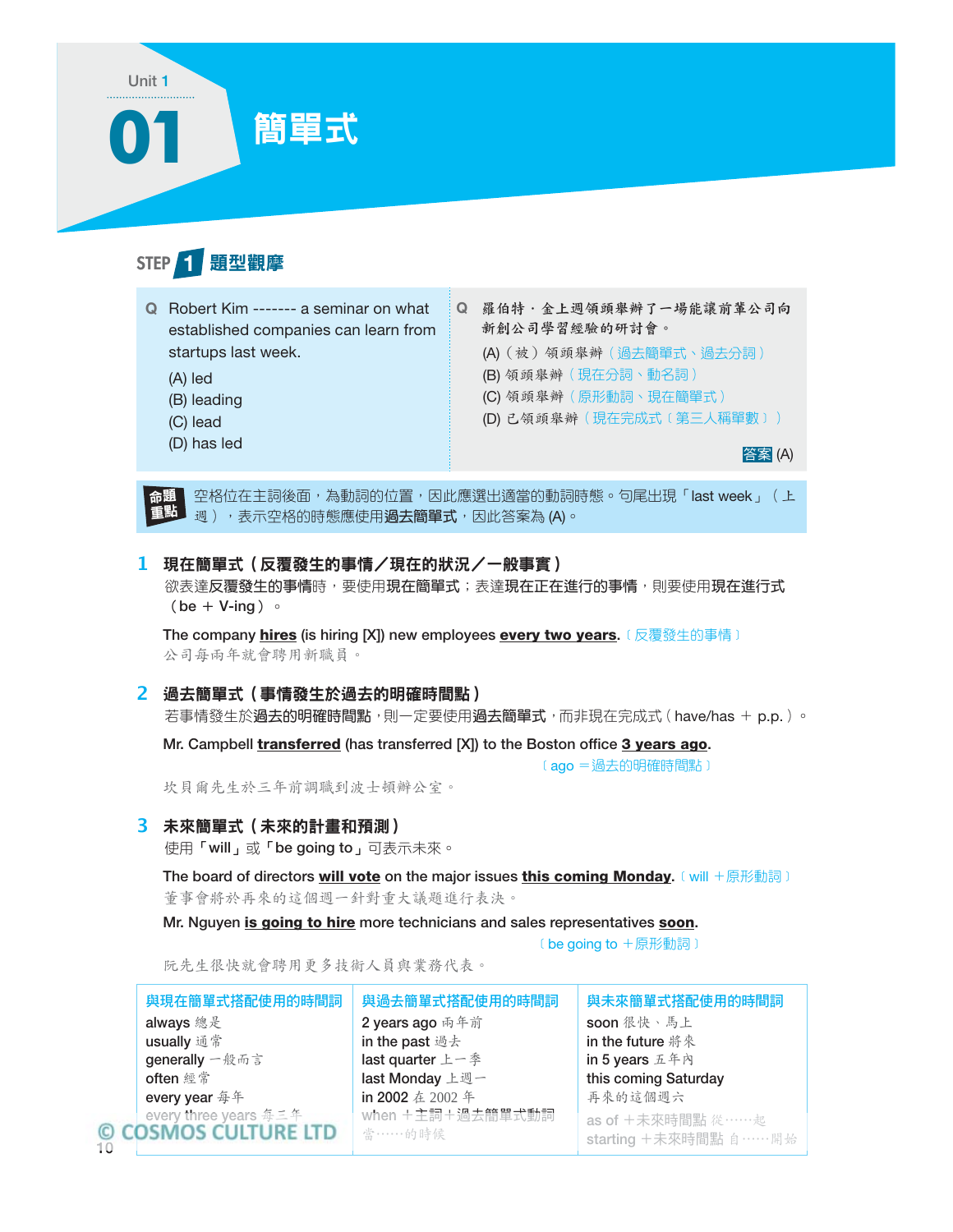

空格位在主詞後面,為動詞的位置,因此應選出適當的動詞時態。句尾出現「last week」(上 週),表示空格的時態應使用**過去簡單式**,因此答案為 (A)。 命題 重點

### **1** 現在簡單式(反覆發生的事情/現在的狀況/一般事實)

欲表達反覆發生的事情時,要使用現在簡單式;表達現在正在進行的事情,則要使用現在進行式  $(be + V-ing)$ 

The company hires (is hiring [X]) new employees every two years. 〔反覆發生的事情〕 公司每兩年就會聘用新職員。

### **2** 過去簡單式(事情發生於過去的明確時間點)

若事情發生於**過去的明確時間點**,則一定要使用**過去簡單式**,而非現在完成式(have/has + p.p.)。

Mr. Campbell *transferred* (has transferred [X]) to the Boston office 3 years ago.

〔ago = 過去的明確時間點〕

坎貝爾先生於三年前調職到波士頓辦公室。

### **3** 未來簡單式(未來的計畫和預測)

10

使用「will」或「be going to」可表示未來。

The board of directors will vote on the major issues this coming Monday. 〔will +原形動詞〕 董事會將於再來的這個週一針對重大議題進行表決。

Mr. Nguyen is going to hire more technicians and sales representatives soon.

﹝be going to +原形動詞﹞

阮先生很快就會聘用更多技術人員與業務代表。

| 與現在簡單式搭配使用的時間詞                                | 與過去簡單式搭配使用的時間詞             | 與未來簡單式搭配使用的時間詞                               |
|-----------------------------------------------|----------------------------|----------------------------------------------|
| always 總是                                     | 2 years ago 雨年前            | soon 很快、馬上                                   |
| usually 通常                                    | in the past 過去             | in the future 將來                             |
| generally 一般而言                                | last quarter 上一季           | in 5 years 五年內                               |
| often 經常                                      | last Monday 上週一            | this coming Saturday                         |
| every year 每年                                 | in 2002 在 2002 年           | 再來的這個週六                                      |
| every three years 每三年<br>© COSMOS CULTURE LTD | when +主詞+過去簡單式動詞<br>當……的時候 | as of +未來時間點 從……起<br>starting +未來時間點 自 …… 開始 |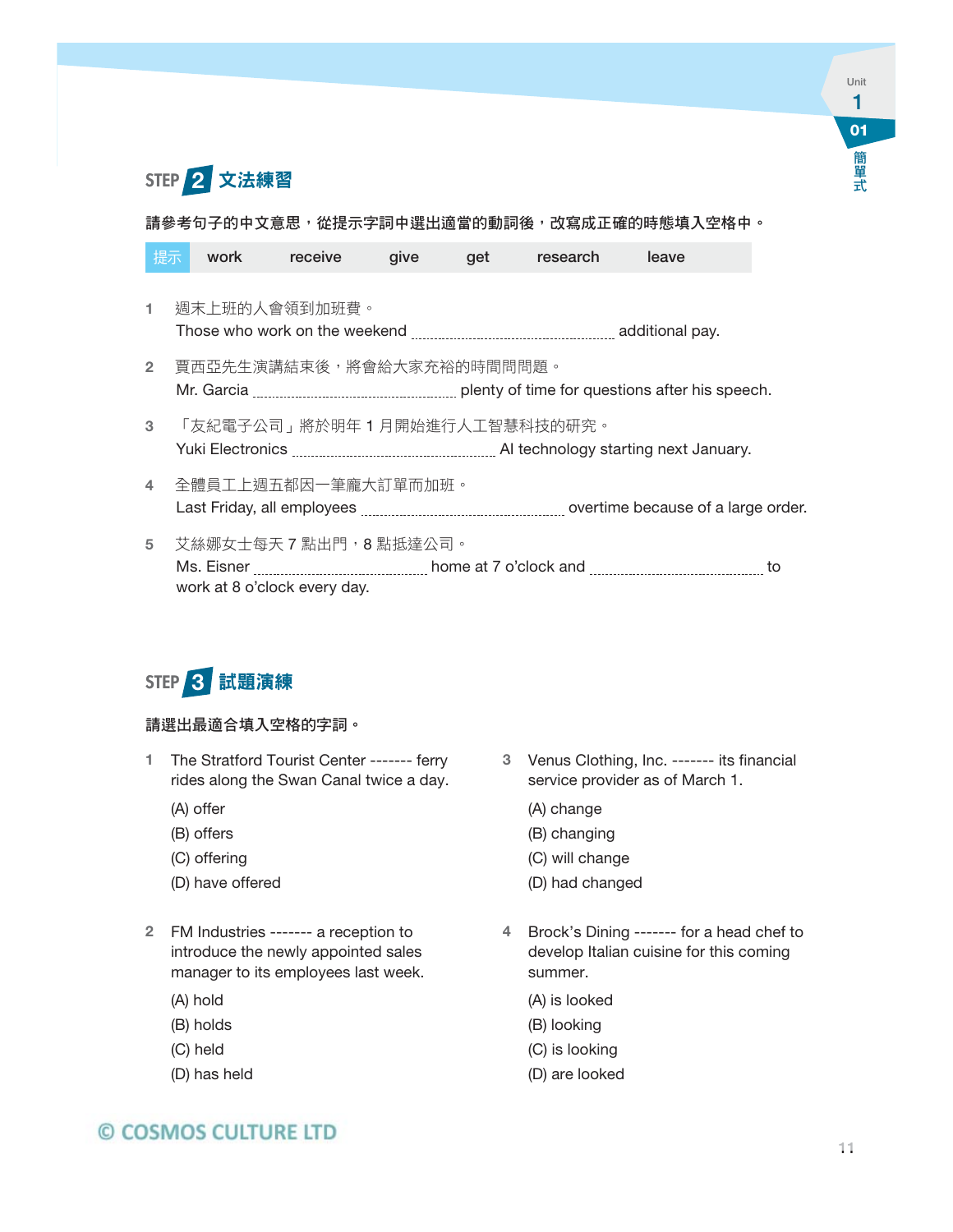

請參考句子的中文意思,從提示字詞中選出適當的動詞後,改寫成正確的時態填入空格中。

| 提示             | work                      | receive                                                | qive | get | research | leave                                                                       |
|----------------|---------------------------|--------------------------------------------------------|------|-----|----------|-----------------------------------------------------------------------------|
|                |                           | 週末上班的人會領到加班費。                                          |      |     |          |                                                                             |
| $\overline{2}$ | 賈西亞先生演講結束後,將會給大家充裕的時間問問題。 |                                                        |      |     |          |                                                                             |
| 3              |                           | 「友紀電子公司」將於明年 1 月開始進行人工智慧科技的研究。                         |      |     |          |                                                                             |
| 4              |                           | 全體員工上週五都因一筆龐大訂單而加班。                                    |      |     |          | Last Friday, all employees <i>[1000]</i> overtime because of a large order. |
| 5              |                           | 艾絲娜女士每天 7 點出門,8 點抵達公司。<br>work at 8 o'clock every day. |      |     |          |                                                                             |



### 請選出最適合填入空格的字詞。

- 1 The Stratford Tourist Center ------- ferry rides along the Swan Canal twice a day.
	- (A) offer
	- (B) offers
	- (C) offering
	- (D) have offered
- 2 FM Industries ------- a reception to introduce the newly appointed sales manager to its employees last week.
	- (A) hold
	- (B) holds
	- (C) held
	- (D) has held
- 3 Venus Clothing, Inc. ------- its financial service provider as of March 1.
	- (A) change
	- (B) changing
	- (C) will change
	- (D) had changed
- 4 Brock's Dining ------- for a head chef to develop Italian cuisine for this coming summer.
	- (A) is looked
	- (B) looking
	- (C) is looking
	- (D) are looked

## © COSMOS CULTURE LTD

**01**

Unit 1

ール・コンピュータ (の) しゅうしゅん しゅうしゅん しゅうしゅう しゅうしゅう しゅうしゅう しゅうしゅう しゅうしゅう しゅうしゅう しゅうしゅうしゅう しゅうしゅうしゅうしゅうしゅうしゅうしゅうしゅうしゅぎょく

簡單式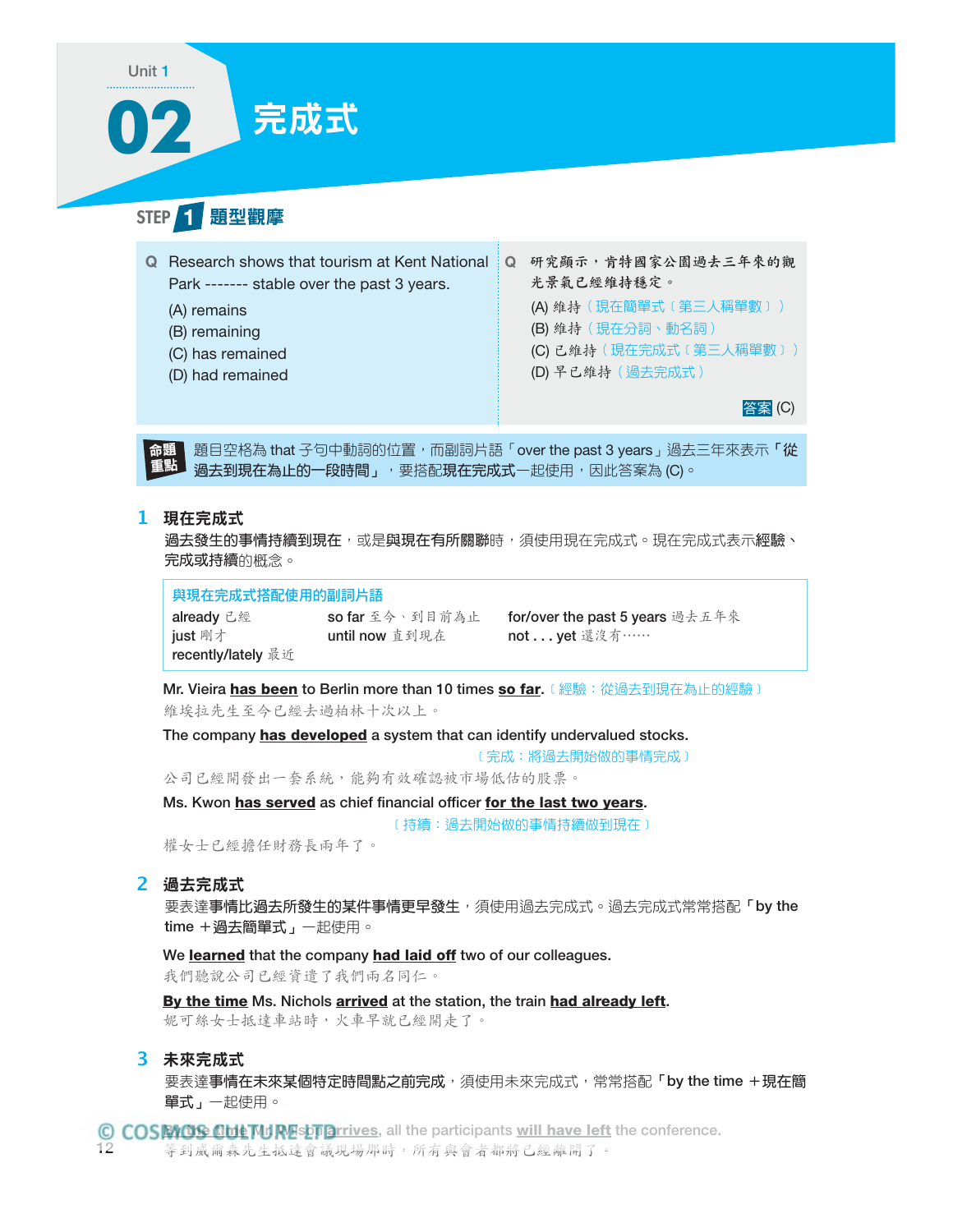# **02** 完成式

STEP 1 題型觀摩

Unit 1

| Q Research shows that tourism at Kent National   Q<br>Park ------- stable over the past 3 years. | 研究顯示,肯特國家公園過去三年來的觀<br>光景氣已經維持穩定。 |
|--------------------------------------------------------------------------------------------------|----------------------------------|
| (A) remains                                                                                      | (A) 維持 (現在簡單式 (第三人稱單數))          |
| (B) remaining                                                                                    | (B) 维持 (現在分詞、動名詞)                |
| (C) has remained                                                                                 | (C) 已維持 (現在完成式 (第三人稱單數))         |
| (D) had remained                                                                                 | (D) 早已維持 (過去完成式)                 |
|                                                                                                  | 答案 (C)                           |

图目空格為 that 子句中動詞的位置, 而副詞片語「over the past 3 years」過去三年來表示「從 過去到現在為止的一段時間」,要搭配現在完成式一起使用,因此答案為 (C)。 命題 重點

### **1** 現在完成式

過去發生的事情持續到現在,或是與現在有所關聯時,須使用現在完成式。現在完成式表示經驗、 完成或持續的概念。

與現在完成式搭配使用的副詞片語

already 已經 so far 至今、到目前為止 for/over the past 5 years 過去五年來 just 剛才 until now 直到現在 not . . . yet 還沒有…… recently/lately 最近

Mr. Vieira has been to Berlin more than 10 times so far. 〔經驗:從過去到現在為止的經驗〕 維埃拉先生至今已經去過柏林十次以上。

The company has developed a system that can identify undervalued stocks.

﹝完成:將過去開始做的事情完成﹞

公司已經開發出一套系統,能夠有效確認被市場低估的股票。

Ms. Kwon has served as chief financial officer for the last two years.

﹝持續:過去開始做的事情持續做到現在﹞

權女士已經擔任財務長兩年了。

### **2** 過去完成式

要表達事情比過去所發生的某件事情更早發生,須使用過去完成式。過去完成式常常搭配「by the time + 過去簡單式」一起使用。

We learned that the company had laid off two of our colleagues.

我們聽說公司已經資遣了我們兩名同仁。

By the time Ms. Nichols arrived at the station, the train had already left.

妮可絲女士抵達車站時,火車早就已經開走了。

### **3** 未來完成式

要表達事情在未來某個特定時間點之前完成,須使用未來完成式,常常搭配「by the time +現在簡 單式」一起使用。

D COSMOS CULTURESTOrrives, all the participants <u>will have left</u> the conference.<br>2 等到成面森先生抵達會議現場那時,所有與會者都將已經離開了。 等到威爾森先生抵達會議現場那時,所有與會者都將已經離開了。 12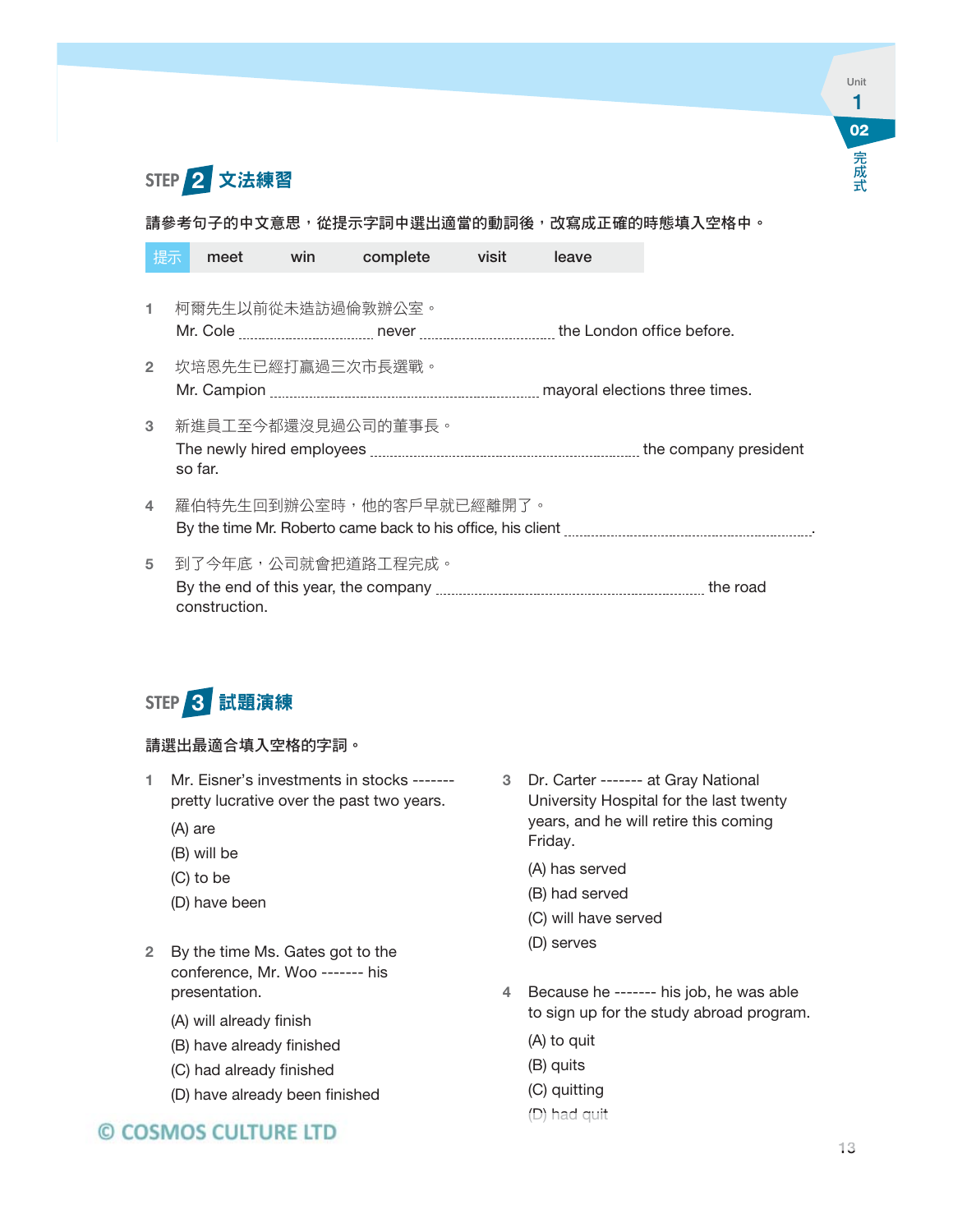

### 請參考句子的中文意思,從提示字詞中選出適當的動詞後,改寫成正確的時態填入空格中。

| 提示             | meet          | win | complete                 | visit | leave |
|----------------|---------------|-----|--------------------------|-------|-------|
| 1.             |               |     | 柯爾先生以前從未造訪過倫敦辦公室。        |       |       |
| $\mathbf{2}$   |               |     | 坎培恩先生已經打贏過三次市長選戰。        |       |       |
| 3              | so far.       |     | 新進員工至今都還沒見過公司的董事長。       |       |       |
| $\overline{4}$ |               |     | 羅伯特先生回到辦公室時,他的客戶早就已經離開了。 |       |       |
| 5              | construction. |     | 到了今年底,公司就會把道路工程完成。       |       |       |



### 請選出最適合填入空格的字詞。

- 1 Mr. Eisner's investments in stocks ------ pretty lucrative over the past two years.
	- (A) are
	- (B) will be
	- (C) to be
	- (D) have been
- 2 By the time Ms. Gates got to the conference, Mr. Woo ------- his presentation.
	- (A) will already finish
	- (B) have already finished
	- (C) had already finished
	- (D) have already been finished

## © COSMOS CULTURE LTD

- 3 Dr. Carter ------- at Gray National University Hospital for the last twenty years, and he will retire this coming Friday.
	- (A) has served
	- (B) had served
	- (C) will have served
	- (D) serves
- 4 Because he ------- his job, he was able to sign up for the study abroad program.
	- (A) to quit
	- (B) quits
	- (C) quitting

### (D) had quit had

**02**

Unit 1

こうしょう こうしゃ アイ・ファイル

完成式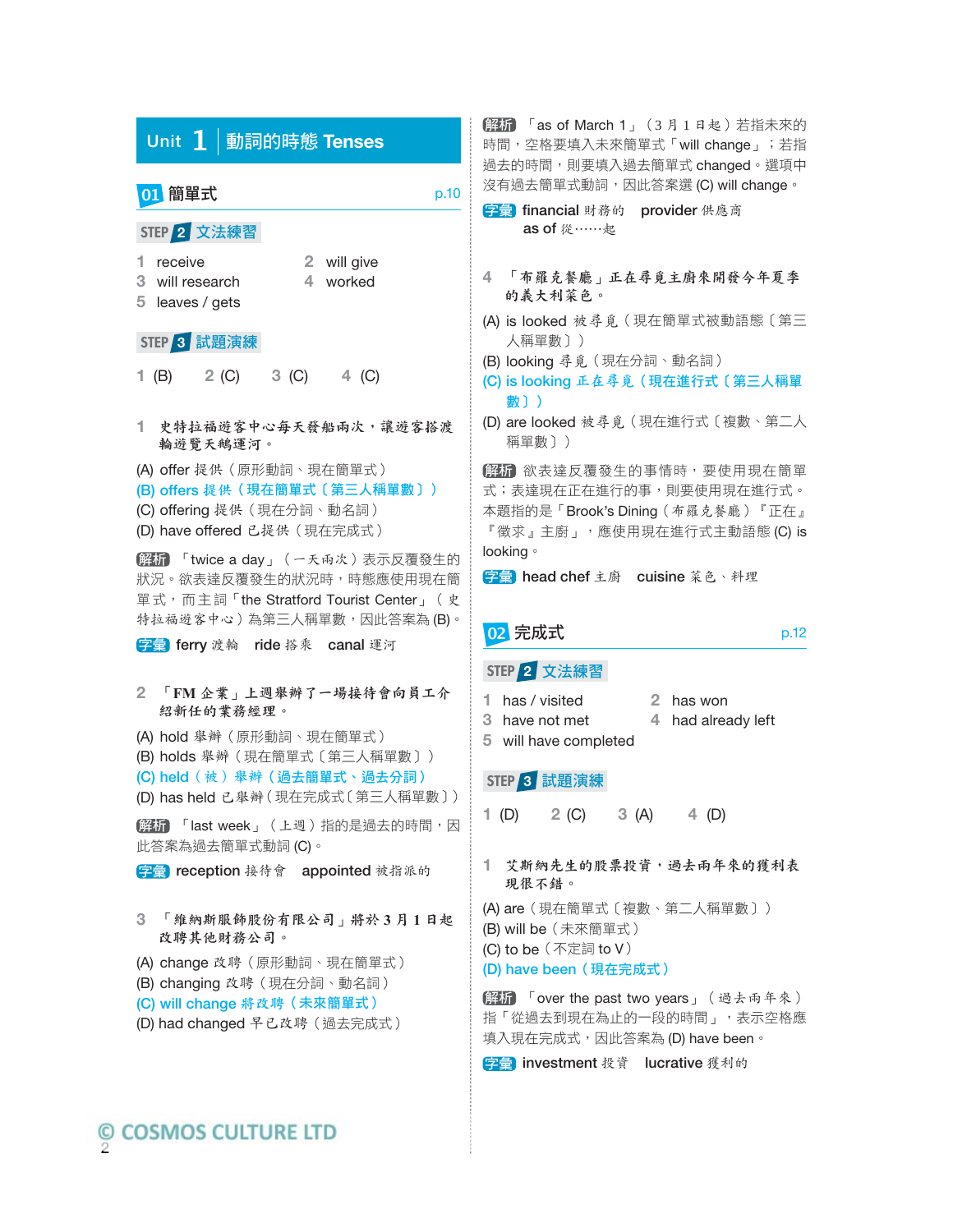|    |                                                                | Unit 1   動詞的時態 Tenses                                                                                                    |                         |                                                                                                                                      |      |
|----|----------------------------------------------------------------|--------------------------------------------------------------------------------------------------------------------------|-------------------------|--------------------------------------------------------------------------------------------------------------------------------------|------|
|    | 01 簡單式                                                         |                                                                                                                          |                         |                                                                                                                                      | p.10 |
|    | STEP 2 文法練習<br>1 receive<br>3 will research<br>5 leaves / gets |                                                                                                                          | 2 will give<br>4 worked |                                                                                                                                      |      |
|    | STEP 3 試題演練                                                    | 1 (B) $2 (C)$ 3 (C) 4 (C)                                                                                                |                         |                                                                                                                                      |      |
| 1. | 輪遊覽天鵝運河。                                                       |                                                                                                                          |                         | 史特拉福遊客中心每天發船兩次,讓遊客搭渡                                                                                                                 |      |
|    |                                                                | (A) offer 提供 (原形動詞、現在簡單式)<br>(C) offering 提供 (現在分詞、動名詞)<br>(D) have offered 已提供 (現在完成式)                                  |                         | (B) offers 提供 (現在簡單式〔第三人稱單數〕)                                                                                                        |      |
|    |                                                                |                                                                                                                          |                         | [解析] 「twice a day」 (一天兩次)表示反覆發生的<br>狀況。欲表達反覆發生的狀況時,時態應使用現在簡<br>單式, 而主詞「the Stratford Tourist Center」 (史<br>特拉福遊客中心)為第三人稱單數,因此答案為(B)。 |      |
|    |                                                                | 字彙 ferry 渡輪 ride 搭乘 canal 運河                                                                                             |                         | 2 「FM 企業」上週舉辦了一場接待會向員工介                                                                                                              |      |
|    |                                                                | 紹新任的業務經理。<br>(A) hold 舉辦 (原形動詞、現在簡單式)                                                                                    |                         | (B) holds 舉辦 (現在簡單式〔第三人稱單數〕)<br>(C) held (被) 舉辦 (過去簡單式、過去分詞)<br>(D) has held 已舉辦(現在完成式〔第三人稱單數〕)<br>解析 「last week」 (上週) 指的是過去的時間,因    |      |
|    |                                                                | 此答案為過去簡單式動詞 (C)。                                                                                                         |                         | 字彙 reception 接待會 appointed 被指派的                                                                                                      |      |
| 3  |                                                                | 改聘其他財務公司。                                                                                                                |                         | 「維納斯服飾股份有限公司」將於3月1日起                                                                                                                 |      |
|    |                                                                | (A) change 改聘 (原形動詞、現在簡單式)<br>(B) changing 改聘 (現在分詞、動名詞)<br>(C) will change 将改聘 (未來簡單式)<br>(D) had changed 早已改聘 ( 過去完成式) |                         |                                                                                                                                      |      |
|    |                                                                |                                                                                                                          |                         |                                                                                                                                      |      |

解析 「as of March 1」 (3月1日起)若指未來的 時間,空格要填入未來簡單式「will change」; 若指 過去的時間,則要填入過去簡單式 changed。選項中 沒有過去簡單式動詞,因此答案選 (C) will change。

5章 financial 財務的 provider 供應商 as of 從⋯⋯起

- **4** 「布羅克餐廳」正在尋覓主廚來開發今年夏季 的義大利菜色。
- (A) is looked 被尋覓(現在簡單式被動語態〔第三 人稱單數〕)
- (B) looking 尋覓(現在分詞、動名詞)
- (C) is looking 正在尋覓(現在進行式〔第三人稱單 數〕)
- (D) are looked 被尋覓(現在進行式〔複數、第二人 稱單數〕)

解析 欲表達反覆發生的事情時,要使用現在簡單 式;表達現在正在進行的事,則要使用現在進行式。 本題指的是「Brook's Dining(布羅克餐廳)『正在』 『徵求』主廚」,應使用現在進行式主動語態 (C) is looking。

子彙 head chef 主廚 cuisine 菜色、料理

### **02 完成式**

|  | ٩ |  |
|--|---|--|
|  |   |  |
|  |   |  |
|  |   |  |

### **STEP 2** 文法練習

- **1** has / visited **2** has won
	-
- **3** have not met **4** had already left
- **5** will have completed

### **STEP 3** 試題演練

- **1** (D) **2** (C) **3** (A) **4** (D)
- **1** 艾斯納先生的股票投資,過去兩年來的獲利表 現很不錯。
- (A) are (現在簡單式〔複數、第二人稱單數〕)
- (B) will be(未來簡單式)
- (C) to be(不定詞 to V)
- (D) have been (現在完成式)

解析 「over the past two years」 ( 過去兩年來) 指「從過去到現在為止的一段的時間」,表示空格應 填入現在完成式,因此答案為 (D) have been。

**字彙** investment 投資 lucrative 獲利的